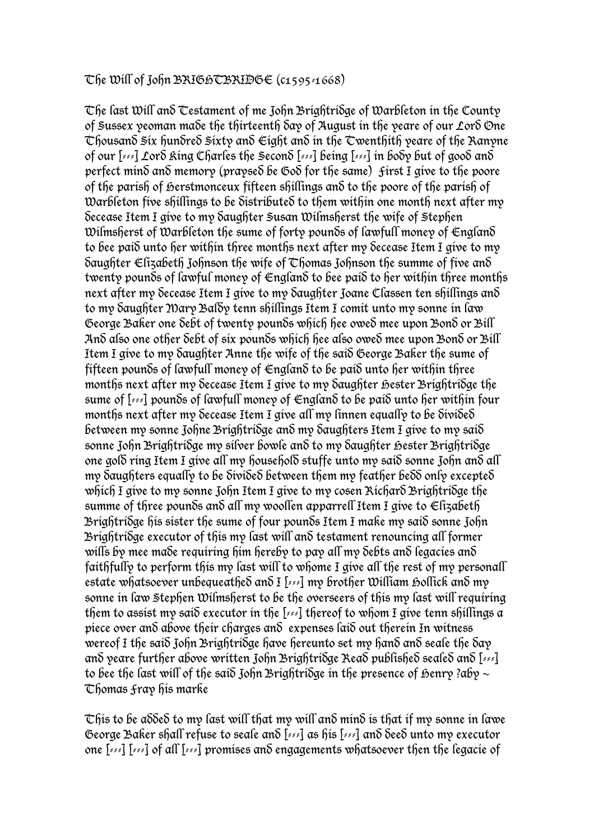## The Will of John BRIGHTBRIDGE  $(c_{1595/1668})$

The last Will and Testament of me John Brightridge of Warbleton in the County of Sussex yeoman made the thirteenth day of August in the yeare of our Lord One  $\tau$ housand  $\tilde{\mathfrak{s}}$ ix hundred  $\tilde{\mathfrak{s}}$ ixty and  $\epsilon$ iqht and in the  $\tau$ wenthith yeare of the Ranyne of our [---] Lord King Charles the Second [---] being [---] in body but of good and perfect mind and memory (praysed be God for the same) First I give to the poore of the parish of herstmonceux fifteen shillings and to the poore of the parish of Warbleton five shillings to be distributed to them within one month next after my decease Item I give to my daughter Susan Wilmsherst the wife of Stephen Wilmsherst of Warbleton the sume of forty pounds of lawfull money of  $\epsilon$ ngland to bee paid unto her within three months next after my decease Item I give to my Saughter  $\epsilon$  lizabeth Johnson the wife of  $\epsilon$  homas Johnson the summe of five and twenty pounds of lawful money of England to bee paid to her within three months next after my decease Item I give to my daughter Joane Classen ten shillings and to my daughter Mary Baldy tenn shillings Item I comit unto my sonne in law George Baker one debt of twenty pounds which hee owed mee upon Bond or Bill And also one other debt of six pounds which hee also owed mee upon Bond or Bill Item I give to my daughter Anne the wife of the said George Baker the sume of fifteen pounds of lawfull money of England to be paid unto her within three months next after my Secease Item I give to my Saughter Bester BrightriSge the sume of [---] pounds of lawfull money of England to be paid unto her within four months next after my decease Item I give all my linnen equally to be divided between my sonne Johne Brightridge and my daughters Item I give to my said sonne John Brightridge my silver bowle and to my daughter Bester Brightridge one gold ring Item I give all my household stuffe unto my said sonne John and all my daughters equally to be divided between them my feather bedd only excepted which I give to my sonne John Item I give to my cosen Richard Brightridge the summe of three pounds and all my woollen apparrell Item I give to  $\epsilon$  lizabeth Brightridge his sister the sume of four pounds Item I make my said sonne John Brightridge executor of this my last will and testament renouncing all former wills by mee made requiring him hereby to pay all my debts and legacies and faithfully to perform this my last will to whome I give all the rest of my personall estate whatsoever unbequeathed and  $I$  [ $\ll 1$ ] my brother William hollick and my sonne in law Stephen Wilmsherst to be the overseers of this my last will requiring them to assist my said executor in the  $[1, 2]$  thereof to whom I give tenn shillings a piece over and above their charges and expenses laid out therein In witness wereof I the said John Brightridge have hereunto set my hand and seale the day and yeare further above written John Brightridge Read published sealed and [---] to bee the last will of the said John Brightridge in the presence of henry ?aby  $\sim$ Thomas Fray his marke

 $\tau$ his to be a $\delta$ de $\delta$  to my last will that my will and mind is that if my sonne in lawe George Baker shall refuse to seale and [---] as his [---] and deed unto my executor one [---] [---] of all [---] promises and engagements whatsoever then the legacie of